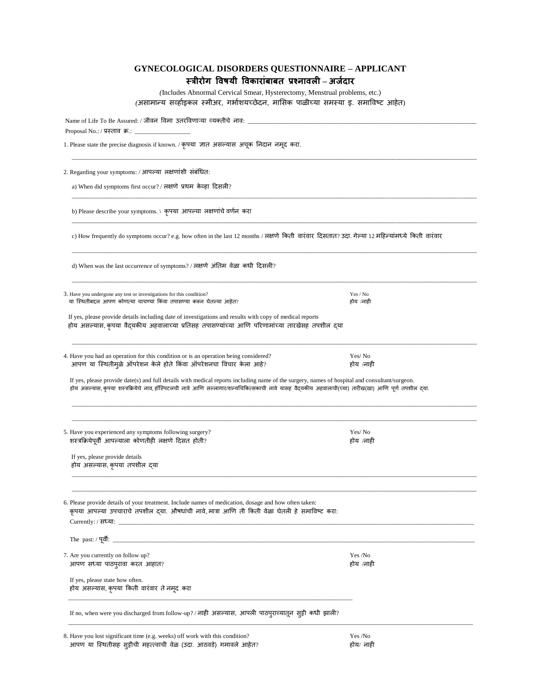| <b>GYNECOLOGICAL DISORDERS QUESTIONNAIRE - APPLICANT</b> |
|----------------------------------------------------------|
| स्त्रीरोग विषयी विकारांबाबत प्रश्नावली – अर्जदार         |

*(*Includes Abnormal Cervical Smear, Hysterectomy, Menstrual problems, etc.) *(असामान्य सर्व्हाइकल स्मीअर, गर्भाशयच्छेदन, मासिक पाळीच्या समस्या इ. समाविष्ट आहेत)* 

| Name of Life To Be Assured: / जीवन विमा उतरविणाऱ्या व्यक्तीचे नाव: _____________                                                                                                                                                                                                                                                                                                                                                                                   |                       |
|--------------------------------------------------------------------------------------------------------------------------------------------------------------------------------------------------------------------------------------------------------------------------------------------------------------------------------------------------------------------------------------------------------------------------------------------------------------------|-----------------------|
| Proposal No.: / प्रस्ताव क्र.: $\_\_$                                                                                                                                                                                                                                                                                                                                                                                                                              |                       |
| 1. Please state the precise diagnosis if known. / कृपया ज्ञात असल्यास अचूक निदान नमूद करा.                                                                                                                                                                                                                                                                                                                                                                         |                       |
| 2. Regarding your symptoms: / आपल्या लक्षणांशी संबंधित:                                                                                                                                                                                                                                                                                                                                                                                                            |                       |
| a) When did symptoms first occur? / लक्षणे प्रथम केव्हा दिसली?                                                                                                                                                                                                                                                                                                                                                                                                     |                       |
| b) Please describe your symptoms. \ कृपया आपल्या लक्षणांचे वर्णन करा                                                                                                                                                                                                                                                                                                                                                                                               |                       |
| c) How frequently do symptoms occur? e.g. how often in the last 12 months / लक्षणे किती वारंवार दिसतात? उदा. गेल्या 12 महिन्यांमध्ये किती वारंवार                                                                                                                                                                                                                                                                                                                  |                       |
| d) When was the last occurrence of symptoms? / लक्षणे अंतिम वेळा कधी दिसली?                                                                                                                                                                                                                                                                                                                                                                                        |                       |
| 3. Have you undergone any test or investigations for this condition?<br>या स्थितीबद्दल आपण कोणत्या चाचण्या किंवा तपासण्या करून घेतल्या आहेत?                                                                                                                                                                                                                                                                                                                       | Yes / No<br>होय /नाही |
| If yes, please provide details including date of investigations and results with copy of medical reports<br>होय असल्यास, कृपया वैद्यकीय अहवालाच्या प्रतिसह तपासण्यांच्या आणि परिणामांच्या तारखेसह तपशील द्या                                                                                                                                                                                                                                                       |                       |
| 4. Have you had an operation for this condition or is an operation being considered?<br>आपण या स्थितीमुळे ऑपरेशन केले होते किंवा ऑपरेशनचा विचार केला आहे?<br>If yes, please provide date(s) and full details with medical reports including name of the surgery, names of hospital and consultant/surgeon.<br>होय असल्यास, कृपया शस्त्रक्रियेचे नाव, हॉस्पिटलची नावे आणि सल्लागार/शल्यचिकित्सकाची नावे यासह वैदयकीय अहवालाची(च्या) तारीख(खा) आणि पूर्ण तपशील द्या. | Yes/No<br>होय /नाही   |
| 5. Have you experienced any symptoms following surgery?<br>शस्त्रक्रियेपूर्वी आपल्याला कोणतीही लक्षणे दिसत होती?<br>If yes, please provide details<br>होय असल्यास, कृपया तपशील द्या                                                                                                                                                                                                                                                                                | Yes/No<br>होय /नाही   |
| 6. Please provide details of your treatment. Include names of medication, dosage and how often taken:<br>कृपया आपल्या उपचाराचे तपशील द् <mark>या. औषधांची नावे, मात्रा आणि ती किती वेळा घेतली हे समाविष्ट करा</mark> :                                                                                                                                                                                                                                             |                       |
| Currently: / सध्या: _                                                                                                                                                                                                                                                                                                                                                                                                                                              |                       |
| 7. Are you currently on follow up?<br>आपण सध्या पाठपुरावा करत आहात?                                                                                                                                                                                                                                                                                                                                                                                                | Yes /No<br>होय /नाही  |
| If yes, please state how often.<br>होय असल्यास, कृपया किती वारंवार ते नमूद करा                                                                                                                                                                                                                                                                                                                                                                                     |                       |
| If no, when were you discharged from follow-up? / नाही असल्यास, आपली पाठपुराव्यातून सुट्टी कधी झाली?                                                                                                                                                                                                                                                                                                                                                               |                       |

8. Have you lost significant time (e.g. weeks) off work with this condition? Yes /No आपण या स्थितीसह सुट्टीची महत्त्त्वाची वेळ (उदा. आठवडे) गमावले आहेत? होय/ नाही